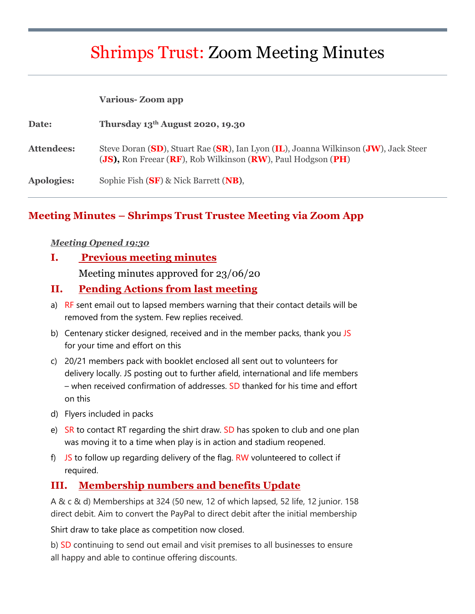# Shrimps Trust: Zoom Meeting Minutes

#### **Various- Zoom app**

| Date:      | Thursday $13th$ August 2020, 19.30                                                                                                                  |
|------------|-----------------------------------------------------------------------------------------------------------------------------------------------------|
| Attendees: | Steve Doran (SD), Stuart Rae (SR), Ian Lyon (IL), Joanna Wilkinson (JW), Jack Steer<br>(JS), Ron Freear (RF), Rob Wilkinson (RW), Paul Hodgson (PH) |
| Apologies: | Sophie Fish $(SF)$ & Nick Barrett $(NB)$ ,                                                                                                          |

#### **Meeting Minutes – Shrimps Trust Trustee Meeting via Zoom App**

#### *Meeting Opened 19:30*

#### **I. Previous meeting minutes**

Meeting minutes approved for 23/06/20

#### **II. Pending Actions from last meeting**

- a) RF sent email out to lapsed members warning that their contact details will be removed from the system. Few replies received.
- b) Centenary sticker designed, received and in the member packs, thank you JS for your time and effort on this
- c) 20/21 members pack with booklet enclosed all sent out to volunteers for delivery locally. JS posting out to further afield, international and life members – when received confirmation of addresses. SD thanked for his time and effort on this
- d) Flyers included in packs
- e) SR to contact RT regarding the shirt draw. SD has spoken to club and one plan was moving it to a time when play is in action and stadium reopened.
- f)  $JS$  to follow up regarding delivery of the flag. RW volunteered to collect if required.

## **III. Membership numbers and benefits Update**

A & c & d) Memberships at 324 (50 new, 12 of which lapsed, 52 life, 12 junior. 158 direct debit. Aim to convert the PayPal to direct debit after the initial membership

Shirt draw to take place as competition now closed.

b) SD continuing to send out email and visit premises to all businesses to ensure all happy and able to continue offering discounts.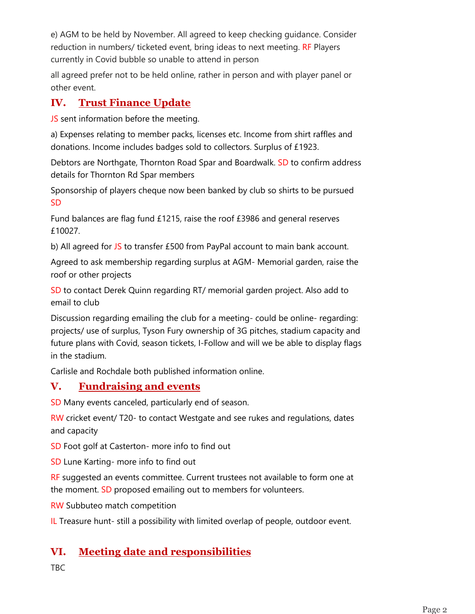e) AGM to be held by November. All agreed to keep checking guidance. Consider reduction in numbers/ ticketed event, bring ideas to next meeting. RF Players currently in Covid bubble so unable to attend in person

all agreed prefer not to be held online, rather in person and with player panel or other event.

## **IV. Trust Finance Update**

JS sent information before the meeting.

a) Expenses relating to member packs, licenses etc. Income from shirt raffles and donations. Income includes badges sold to collectors. Surplus of £1923.

Debtors are Northgate, Thornton Road Spar and Boardwalk. SD to confirm address details for Thornton Rd Spar members

Sponsorship of players cheque now been banked by club so shirts to be pursued SD

Fund balances are flag fund £1215, raise the roof £3986 and general reserves £10027.

b) All agreed for JS to transfer £500 from PayPal account to main bank account.

Agreed to ask membership regarding surplus at AGM- Memorial garden, raise the roof or other projects

SD to contact Derek Quinn regarding RT/ memorial garden project. Also add to email to club

Discussion regarding emailing the club for a meeting- could be online- regarding: projects/ use of surplus, Tyson Fury ownership of 3G pitches, stadium capacity and future plans with Covid, season tickets, I-Follow and will we be able to display flags in the stadium.

Carlisle and Rochdale both published information online.

## **V. Fundraising and events**

SD Many events canceled, particularly end of season.

RW cricket event/ T20- to contact Westgate and see rukes and regulations, dates and capacity

SD Foot golf at Casterton- more info to find out

SD Lune Karting- more info to find out

RF suggested an events committee. Current trustees not available to form one at the moment. SD proposed emailing out to members for volunteers.

RW Subbuteo match competition

IL Treasure hunt- still a possibility with limited overlap of people, outdoor event.

# **VI. Meeting date and responsibilities**

TBC